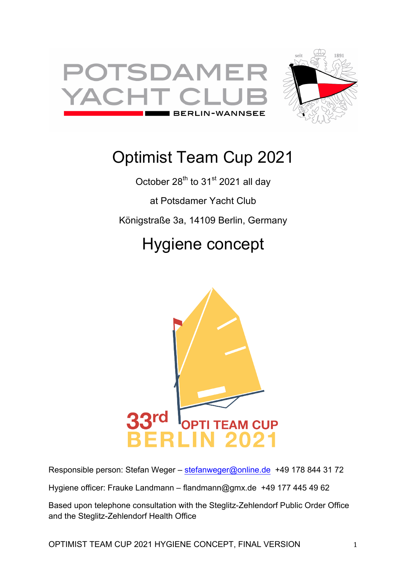



# Optimist Team Cup 2021

October 28<sup>th</sup> to 31<sup>st</sup> 2021 all day at Potsdamer Yacht Club Königstraße 3a, 14109 Berlin, Germany

# Hygiene concept



Responsible person: Stefan Weger - stefanweger@online.de +49 178 844 31 72

Hygiene officer: Frauke Landmann – flandmann@gmx.de +49 177 445 49 62

Based upon telephone consultation with the Steglitz-Zehlendorf Public Order Office and the Steglitz-Zehlendorf Health Office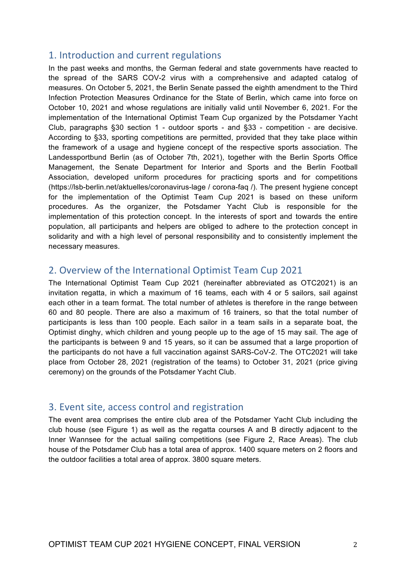## 1. Introduction and current regulations

In the past weeks and months, the German federal and state governments have reacted to the spread of the SARS COV-2 virus with a comprehensive and adapted catalog of measures. On October 5, 2021, the Berlin Senate passed the eighth amendment to the Third Infection Protection Measures Ordinance for the State of Berlin, which came into force on October 10, 2021 and whose regulations are initially valid until November 6, 2021. For the implementation of the International Optimist Team Cup organized by the Potsdamer Yacht Club, paragraphs §30 section 1 - outdoor sports - and §33 - competition - are decisive. According to §33, sporting competitions are permitted, provided that they take place within the framework of a usage and hygiene concept of the respective sports association. The Landessportbund Berlin (as of October 7th, 2021), together with the Berlin Sports Office Management, the Senate Department for Interior and Sports and the Berlin Football Association, developed uniform procedures for practicing sports and for competitions (https://lsb-berlin.net/aktuelles/coronavirus-lage / corona-faq /). The present hygiene concept for the implementation of the Optimist Team Cup 2021 is based on these uniform procedures. As the organizer, the Potsdamer Yacht Club is responsible for the implementation of this protection concept. In the interests of sport and towards the entire population, all participants and helpers are obliged to adhere to the protection concept in solidarity and with a high level of personal responsibility and to consistently implement the necessary measures.

## 2. Overview of the International Optimist Team Cup 2021

The International Optimist Team Cup 2021 (hereinafter abbreviated as OTC2021) is an invitation regatta, in which a maximum of 16 teams, each with 4 or 5 sailors, sail against each other in a team format. The total number of athletes is therefore in the range between 60 and 80 people. There are also a maximum of 16 trainers, so that the total number of participants is less than 100 people. Each sailor in a team sails in a separate boat, the Optimist dinghy, which children and young people up to the age of 15 may sail. The age of the participants is between 9 and 15 years, so it can be assumed that a large proportion of the participants do not have a full vaccination against SARS-CoV-2. The OTC2021 will take place from October 28, 2021 (registration of the teams) to October 31, 2021 (price giving ceremony) on the grounds of the Potsdamer Yacht Club.

## 3. Event site, access control and registration

The event area comprises the entire club area of the Potsdamer Yacht Club including the club house (see Figure 1) as well as the regatta courses A and B directly adjacent to the Inner Wannsee for the actual sailing competitions (see Figure 2, Race Areas). The club house of the Potsdamer Club has a total area of approx. 1400 square meters on 2 floors and the outdoor facilities a total area of approx. 3800 square meters.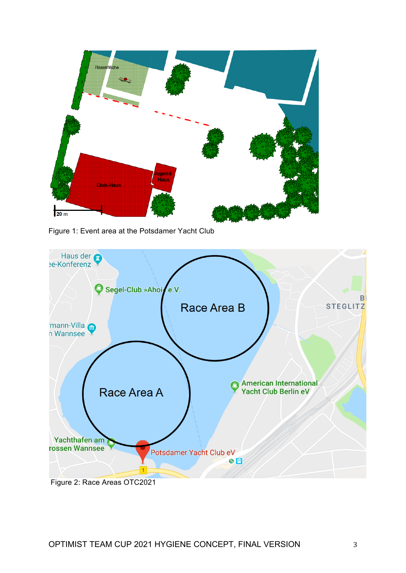

Figure 1: Event area at the Potsdamer Yacht Club



OPTIMIST TEAM CUP 2021 HYGIENE CONCEPT, FINAL VERSION 3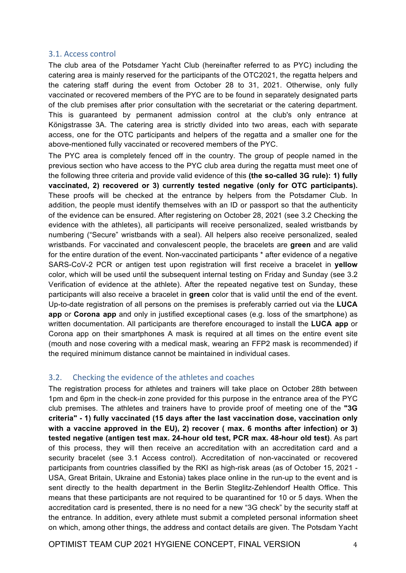#### 3.1. Access control

The club area of the Potsdamer Yacht Club (hereinafter referred to as PYC) including the catering area is mainly reserved for the participants of the OTC2021, the regatta helpers and the catering staff during the event from October 28 to 31, 2021. Otherwise, only fully vaccinated or recovered members of the PYC are to be found in separately designated parts of the club premises after prior consultation with the secretariat or the catering department. This is guaranteed by permanent admission control at the club's only entrance at Königstrasse 3A. The catering area is strictly divided into two areas, each with separate access, one for the OTC participants and helpers of the regatta and a smaller one for the above-mentioned fully vaccinated or recovered members of the PYC.

The PYC area is completely fenced off in the country. The group of people named in the previous section who have access to the PYC club area during the regatta must meet one of the following three criteria and provide valid evidence of this **(the so-called 3G rule): 1) fully vaccinated, 2) recovered or 3) currently tested negative (only for OTC participants).** These proofs will be checked at the entrance by helpers from the Potsdamer Club. In addition, the people must identify themselves with an ID or passport so that the authenticity of the evidence can be ensured. After registering on October 28, 2021 (see 3.2 Checking the evidence with the athletes), all participants will receive personalized, sealed wristbands by numbering ("Secure" wristbands with a seal). All helpers also receive personalized, sealed wristbands. For vaccinated and convalescent people, the bracelets are **green** and are valid for the entire duration of the event. Non-vaccinated participants \* after evidence of a negative SARS-CoV-2 PCR or antigen test upon registration will first receive a bracelet in **yellow** color, which will be used until the subsequent internal testing on Friday and Sunday (see 3.2 Verification of evidence at the athlete). After the repeated negative test on Sunday, these participants will also receive a bracelet in **green** color that is valid until the end of the event. Up-to-date registration of all persons on the premises is preferably carried out via the **LUCA app** or **Corona app** and only in justified exceptional cases (e.g. loss of the smartphone) as written documentation. All participants are therefore encouraged to install the **LUCA app** or Corona app on their smartphones A mask is required at all times on the entire event site (mouth and nose covering with a medical mask, wearing an FFP2 mask is recommended) if the required minimum distance cannot be maintained in individual cases.

### 3.2. Checking the evidence of the athletes and coaches

The registration process for athletes and trainers will take place on October 28th between 1pm and 6pm in the check-in zone provided for this purpose in the entrance area of the PYC club premises. The athletes and trainers have to provide proof of meeting one of the **"3G criteria" - 1) fully vaccinated (15 days after the last vaccination dose, vaccination only with a vaccine approved in the EU), 2) recover ( max. 6 months after infection) or 3) tested negative (antigen test max. 24-hour old test, PCR max. 48-hour old test)**. As part of this process, they will then receive an accreditation with an accreditation card and a security bracelet (see 3.1 Access control). Accreditation of non-vaccinated or recovered participants from countries classified by the RKI as high-risk areas (as of October 15, 2021 - USA, Great Britain, Ukraine and Estonia) takes place online in the run-up to the event and is sent directly to the health department in the Berlin Steglitz-Zehlendorf Health Office. This means that these participants are not required to be quarantined for 10 or 5 days. When the accreditation card is presented, there is no need for a new "3G check" by the security staff at the entrance. In addition, every athlete must submit a completed personal information sheet on which, among other things, the address and contact details are given. The Potsdam Yacht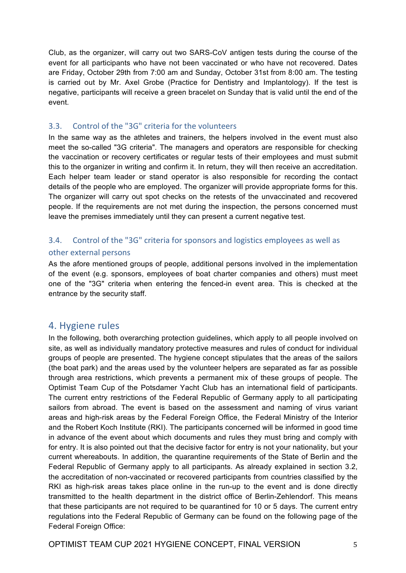Club, as the organizer, will carry out two SARS-CoV antigen tests during the course of the event for all participants who have not been vaccinated or who have not recovered. Dates are Friday, October 29th from 7:00 am and Sunday, October 31st from 8:00 am. The testing is carried out by Mr. Axel Grobe (Practice for Dentistry and Implantology). If the test is negative, participants will receive a green bracelet on Sunday that is valid until the end of the event.

### 3.3. Control of the "3G" criteria for the volunteers

In the same way as the athletes and trainers, the helpers involved in the event must also meet the so-called "3G criteria". The managers and operators are responsible for checking the vaccination or recovery certificates or regular tests of their employees and must submit this to the organizer in writing and confirm it. In return, they will then receive an accreditation. Each helper team leader or stand operator is also responsible for recording the contact details of the people who are employed. The organizer will provide appropriate forms for this. The organizer will carry out spot checks on the retests of the unvaccinated and recovered people. If the requirements are not met during the inspection, the persons concerned must leave the premises immediately until they can present a current negative test.

## 3.4. Control of the "3G" criteria for sponsors and logistics employees as well as other external persons

As the afore mentioned groups of people, additional persons involved in the implementation of the event (e.g. sponsors, employees of boat charter companies and others) must meet one of the "3G" criteria when entering the fenced-in event area. This is checked at the entrance by the security staff.

## 4. Hygiene rules

In the following, both overarching protection guidelines, which apply to all people involved on site, as well as individually mandatory protective measures and rules of conduct for individual groups of people are presented. The hygiene concept stipulates that the areas of the sailors (the boat park) and the areas used by the volunteer helpers are separated as far as possible through area restrictions, which prevents a permanent mix of these groups of people. The Optimist Team Cup of the Potsdamer Yacht Club has an international field of participants. The current entry restrictions of the Federal Republic of Germany apply to all participating sailors from abroad. The event is based on the assessment and naming of virus variant areas and high-risk areas by the Federal Foreign Office, the Federal Ministry of the Interior and the Robert Koch Institute (RKI). The participants concerned will be informed in good time in advance of the event about which documents and rules they must bring and comply with for entry. It is also pointed out that the decisive factor for entry is not your nationality, but your current whereabouts. In addition, the quarantine requirements of the State of Berlin and the Federal Republic of Germany apply to all participants. As already explained in section 3.2, the accreditation of non-vaccinated or recovered participants from countries classified by the RKI as high-risk areas takes place online in the run-up to the event and is done directly transmitted to the health department in the district office of Berlin-Zehlendorf. This means that these participants are not required to be quarantined for 10 or 5 days. The current entry regulations into the Federal Republic of Germany can be found on the following page of the Federal Foreign Office: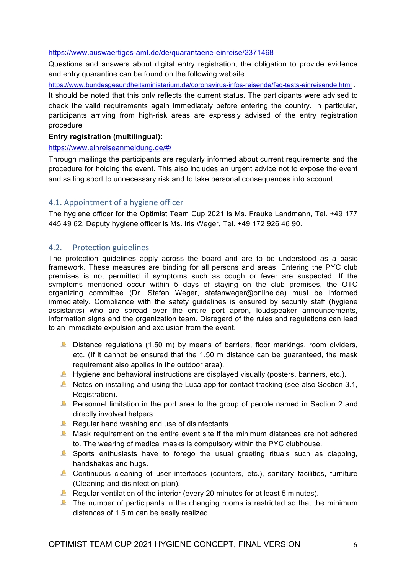#### https://www.auswaertiges-amt.de/de/quarantaene-einreise/2371468

Questions and answers about digital entry registration, the obligation to provide evidence and entry quarantine can be found on the following website:

https://www.bundesgesundheitsministerium.de/coronavirus-infos-reisende/faq-tests-einreisende.html .

It should be noted that this only reflects the current status. The participants were advised to check the valid requirements again immediately before entering the country. In particular, participants arriving from high-risk areas are expressly advised of the entry registration procedure

#### **Entry registration (multilingual):**

#### https://www.einreiseanmeldung.de/#/

Through mailings the participants are regularly informed about current requirements and the procedure for holding the event. This also includes an urgent advice not to expose the event and sailing sport to unnecessary risk and to take personal consequences into account.

### 4.1. Appointment of a hygiene officer

The hygiene officer for the Optimist Team Cup 2021 is Ms. Frauke Landmann, Tel. +49 177 445 49 62. Deputy hygiene officer is Ms. Iris Weger, Tel. +49 172 926 46 90.

#### 4.2. Protection guidelines

The protection guidelines apply across the board and are to be understood as a basic framework. These measures are binding for all persons and areas. Entering the PYC club premises is not permitted if symptoms such as cough or fever are suspected. If the symptoms mentioned occur within 5 days of staying on the club premises, the OTC organizing committee (Dr. Stefan Weger, stefanweger@online.de) must be informed immediately. Compliance with the safety quidelines is ensured by security staff (hygiene assistants) who are spread over the entire port apron, loudspeaker announcements, information signs and the organization team. Disregard of the rules and regulations can lead to an immediate expulsion and exclusion from the event.

- **Distance regulations (1.50 m) by means of barriers, floor markings, room dividers,** etc. (If it cannot be ensured that the 1.50 m distance can be guaranteed, the mask requirement also applies in the outdoor area).
- $\blacktriangle$  Hygiene and behavioral instructions are displayed visually (posters, banners, etc.).
- Notes on installing and using the Luca app for contact tracking (see also Section 3.1, Registration).
- **Personnel limitation in the port area to the group of people named in Section 2 and** directly involved helpers.
- Regular hand washing and use of disinfectants.
- $\triangle$  Mask requirement on the entire event site if the minimum distances are not adhered to. The wearing of medical masks is compulsory within the PYC clubhouse.
- Sports enthusiasts have to forego the usual greeting rituals such as clapping, handshakes and hugs.
- Continuous cleaning of user interfaces (counters, etc.), sanitary facilities, furniture (Cleaning and disinfection plan).
- Regular ventilation of the interior (every 20 minutes for at least 5 minutes).
- The number of participants in the changing rooms is restricted so that the minimum distances of 1.5 m can be easily realized.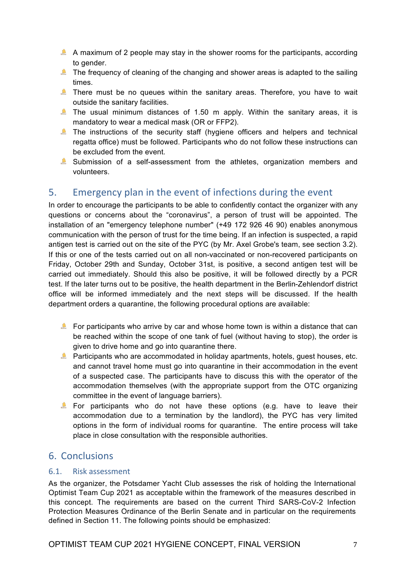- A maximum of 2 people may stay in the shower rooms for the participants, according to gender.
- The frequency of cleaning of the changing and shower areas is adapted to the sailing times.
- There must be no queues within the sanitary areas. Therefore, you have to wait outside the sanitary facilities.
- The usual minimum distances of 1.50 m apply. Within the sanitary areas, it is mandatory to wear a medical mask (OR or FFP2).
- The instructions of the security staff (hygiene officers and helpers and technical regatta office) must be followed. Participants who do not follow these instructions can be excluded from the event.
- Submission of a self-assessment from the athletes, organization members and volunteers.

# 5. Emergency plan in the event of infections during the event

In order to encourage the participants to be able to confidently contact the organizer with any questions or concerns about the "coronavirus", a person of trust will be appointed. The installation of an "emergency telephone number" (+49 172 926 46 90) enables anonymous communication with the person of trust for the time being. If an infection is suspected, a rapid antigen test is carried out on the site of the PYC (by Mr. Axel Grobe's team, see section 3.2). If this or one of the tests carried out on all non-vaccinated or non-recovered participants on Friday, October 29th and Sunday, October 31st, is positive, a second antigen test will be carried out immediately. Should this also be positive, it will be followed directly by a PCR test. If the later turns out to be positive, the health department in the Berlin-Zehlendorf district office will be informed immediately and the next steps will be discussed. If the health department orders a quarantine, the following procedural options are available:

- For participants who arrive by car and whose home town is within a distance that can be reached within the scope of one tank of fuel (without having to stop), the order is given to drive home and go into quarantine there.
- **Participants who are accommodated in holiday apartments, hotels, guest houses, etc.** and cannot travel home must go into quarantine in their accommodation in the event of a suspected case. The participants have to discuss this with the operator of the accommodation themselves (with the appropriate support from the OTC organizing committee in the event of language barriers).
- For participants who do not have these options (e.g. have to leave their accommodation due to a termination by the landlord), the PYC has very limited options in the form of individual rooms for quarantine. The entire process will take place in close consultation with the responsible authorities.

# 6. Conclusions

### 6.1. Risk assessment

As the organizer, the Potsdamer Yacht Club assesses the risk of holding the International Optimist Team Cup 2021 as acceptable within the framework of the measures described in this concept. The requirements are based on the current Third SARS-CoV-2 Infection Protection Measures Ordinance of the Berlin Senate and in particular on the requirements defined in Section 11. The following points should be emphasized: